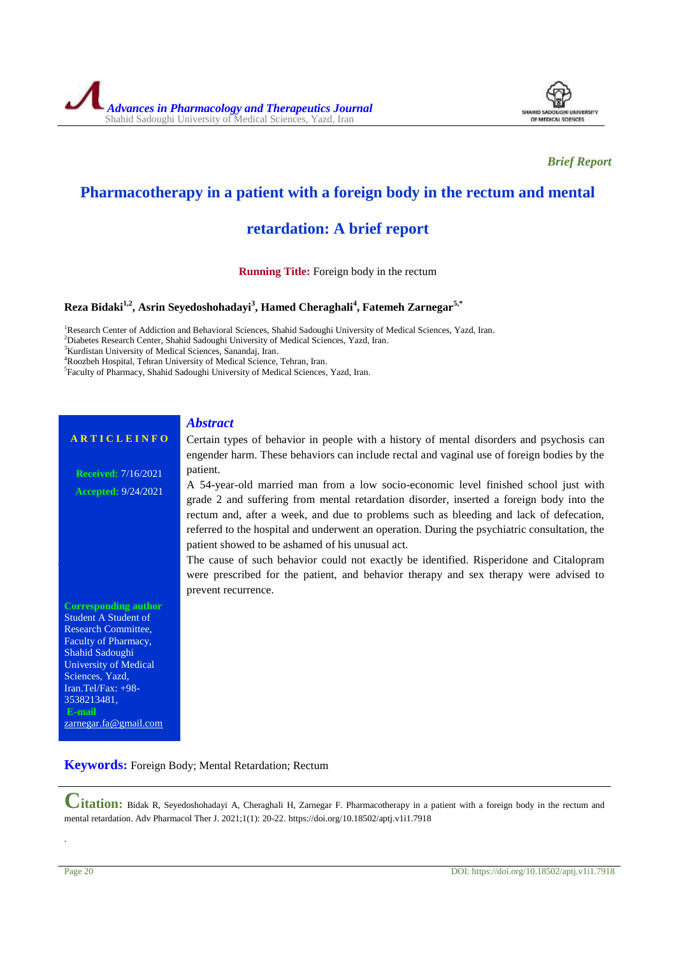

*Brief Report*

## **Pharmacotherapy in a patient with a foreign body in the rectum and mental**

# **retardation: A brief report**

**Running Title:** Foreign body in the rectum

### **Reza Bidaki1,2, Asrin Seyedoshohadayi<sup>3</sup> , Hamed Cheraghali<sup>4</sup> , Fatemeh Zarnegar5,\***

<sup>1</sup>Research Center of Addiction and Behavioral Sciences, Shahid Sadoughi University of Medical Sciences, Yazd, Iran. <sup>2</sup>Diabetes Research Center, Shahid Sadoughi University of Medical Sciences, Yazd, Iran.

<sup>3</sup>Kurdistan University of Medical Sciences, Sanandaj, Iran.

<sup>4</sup>Roozbeh Hospital, Tehran University of Medical Science, Tehran, Iran.

5 Faculty of Pharmacy, Shahid Sadoughi University of Medical Sciences, Yazd, Iran.

#### *Abstract*

#### **A R T I C L E I N F O**

**Received:** 7/16/2021 **Accepted:** 9/24/2021 Certain types of behavior in people with a history of mental disorders and psychosis can engender harm. These behaviors can include rectal and vaginal use of foreign bodies by the patient.

A 54-year-old married man from a low socio-economic level finished school just with grade 2 and suffering from mental retardation disorder, inserted a foreign body into the rectum and, after a week, and due to problems such as bleeding and lack of defecation, referred to the hospital and underwent an operation. During the psychiatric consultation, the patient showed to be ashamed of his unusual act.

The cause of such behavior could not exactly be identified. Risperidone and Citalopram were prescribed for the patient, and behavior therapy and sex therapy were advised to prevent recurrence.

**Corresponding author** Student A Student of Research Committee, Faculty of Pharmacy, Shahid Sadoughi University of Medical Sciences, Yazd, Iran.Tel/Fax: +98- 3538213481, **E-mail** [zarnegar.fa@gmail.com](mailto:zarnegar.fa@gmail.com)

**Keywords:** Foreign Body; Mental Retardation; Rectum

**Citation:** Bidak R, Seyedoshohadayi A, Cheraghali H, Zarnegar F. Pharmacotherapy in a patient with a foreign body in the rectum and mental retardation. Adv Pharmacol Ther J. 2021;1(1): 20-22. https://doi.org/10.18502/aptj.v1i1.7918

.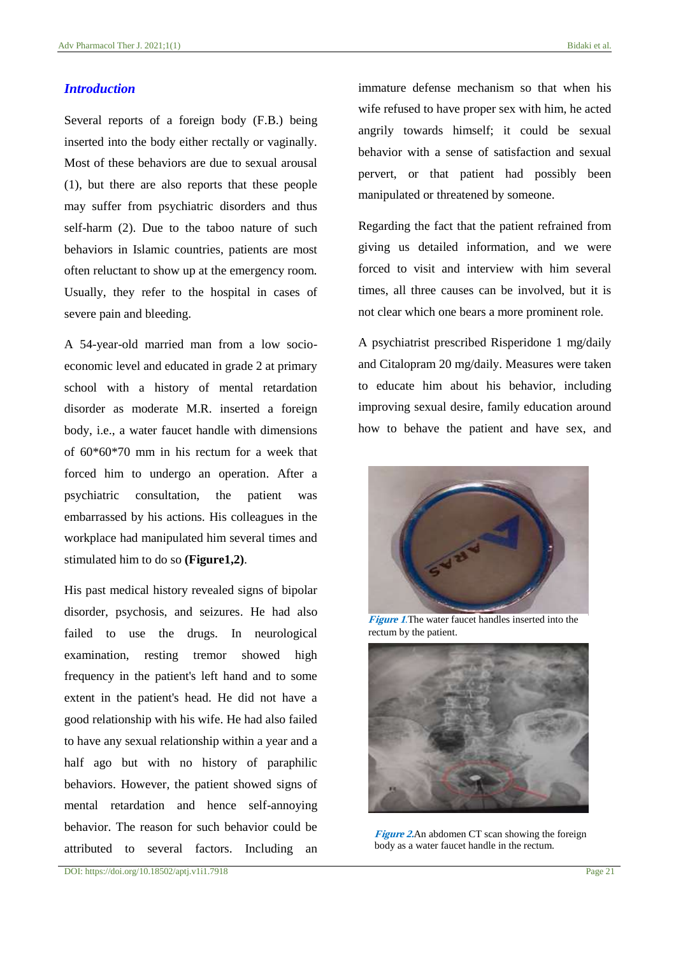#### *Introduction*

Several reports of a foreign body (F.B.) being inserted into the body either rectally or vaginally. Most of these behaviors are due to sexual arousal (1), but there are also reports that these people may suffer from psychiatric disorders and thus self-harm (2). Due to the taboo nature of such behaviors in Islamic countries, patients are most often reluctant to show up at the emergency room. Usually, they refer to the hospital in cases of severe pain and bleeding.

A 54-year-old married man from a low socioeconomic level and educated in grade 2 at primary school with a history of mental retardation disorder as moderate M.R. inserted a foreign body, i.e., a water faucet handle with dimensions of 60\*60\*70 mm in his rectum for a week that forced him to undergo an operation. After a psychiatric consultation, the patient was embarrassed by his actions. His colleagues in the workplace had manipulated him several times and stimulated him to do so **(Figure1,2)**.

His past medical history revealed signs of bipolar disorder, psychosis, and seizures. He had also failed to use the drugs. In neurological examination, resting tremor showed high frequency in the patient's left hand and to some extent in the patient's head. He did not have a good relationship with his wife. He had also failed to have any sexual relationship within a year and a half ago but with no history of paraphilic behaviors. However, the patient showed signs of mental retardation and hence self-annoying behavior. The reason for such behavior could be attributed to several factors. Including an immature defense mechanism so that when his wife refused to have proper sex with him, he acted angrily towards himself; it could be sexual behavior with a sense of satisfaction and sexual pervert, or that patient had possibly been manipulated or threatened by someone.

Regarding the fact that the patient refrained from giving us detailed information, and we were forced to visit and interview with him several times, all three causes can be involved, but it is not clear which one bears a more prominent role.

A psychiatrist prescribed Risperidone 1 mg/daily and Citalopram 20 mg/daily. Measures were taken to educate him about his behavior, including improving sexual desire, family education around how to behave the patient and have sex, and



**Figure 1**.The water faucet handles inserted into the rectum by the patient.



**Figure 2.**An abdomen CT scan showing the foreign body as a water faucet handle in the rectum.